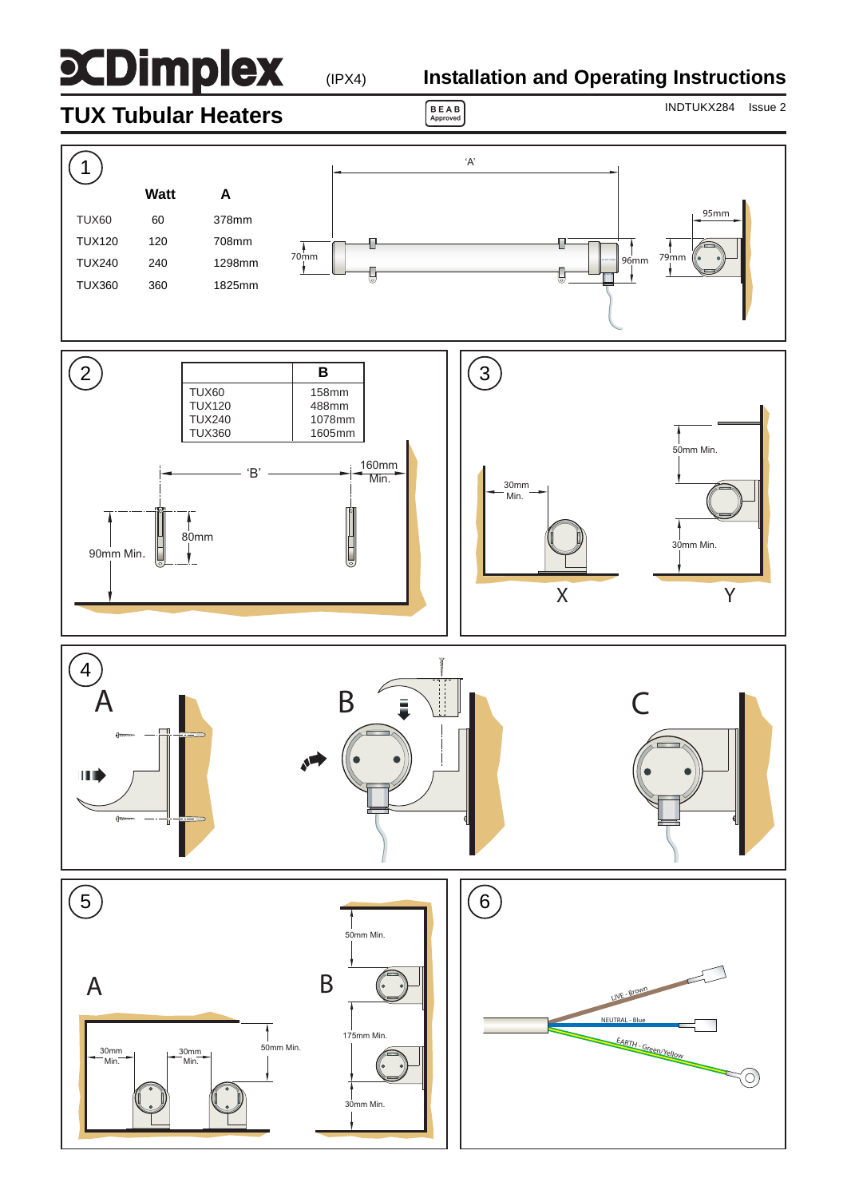# **SCDimplex**

(IPX4)

# **Installation and Operating Instructions**